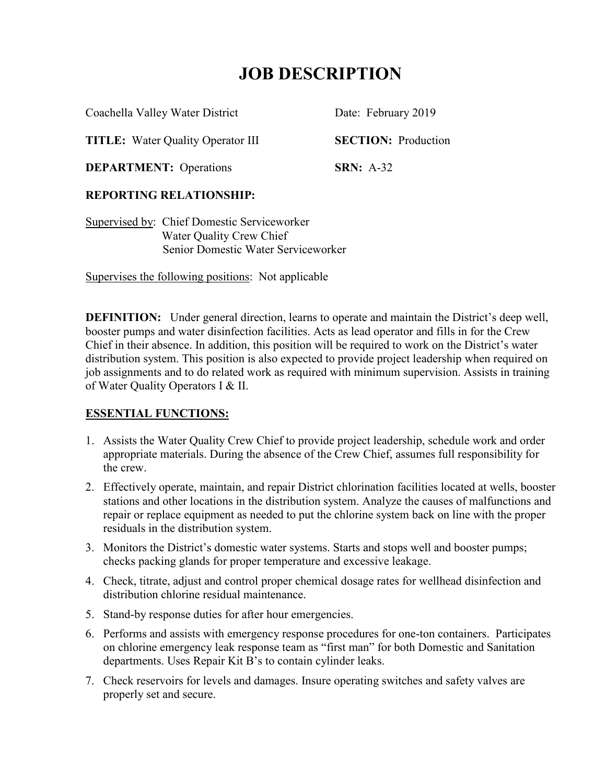Coachella Valley Water District Date: February 2019

**TITLE:** Water Quality Operator III **SECTION:** Production

**DEPARTMENT:** Operations **SRN:** A-32

# **REPORTING RELATIONSHIP:**

Supervised by: Chief Domestic Serviceworker Water Quality Crew Chief Senior Domestic Water Serviceworker

Supervises the following positions: Not applicable

**DEFINITION:** Under general direction, learns to operate and maintain the District's deep well, booster pumps and water disinfection facilities. Acts as lead operator and fills in for the Crew Chief in their absence. In addition, this position will be required to work on the District's water distribution system. This position is also expected to provide project leadership when required on job assignments and to do related work as required with minimum supervision. Assists in training of Water Quality Operators I & II.

# **ESSENTIAL FUNCTIONS:**

- 1. Assists the Water Quality Crew Chief to provide project leadership, schedule work and order appropriate materials. During the absence of the Crew Chief, assumes full responsibility for the crew.
- 2. Effectively operate, maintain, and repair District chlorination facilities located at wells, booster stations and other locations in the distribution system. Analyze the causes of malfunctions and repair or replace equipment as needed to put the chlorine system back on line with the proper residuals in the distribution system.
- 3. Monitors the District's domestic water systems. Starts and stops well and booster pumps; checks packing glands for proper temperature and excessive leakage.
- 4. Check, titrate, adjust and control proper chemical dosage rates for wellhead disinfection and distribution chlorine residual maintenance.
- 5. Stand-by response duties for after hour emergencies.
- 6. Performs and assists with emergency response procedures for one-ton containers. Participates on chlorine emergency leak response team as "first man" for both Domestic and Sanitation departments. Uses Repair Kit B's to contain cylinder leaks.
- 7. Check reservoirs for levels and damages. Insure operating switches and safety valves are properly set and secure.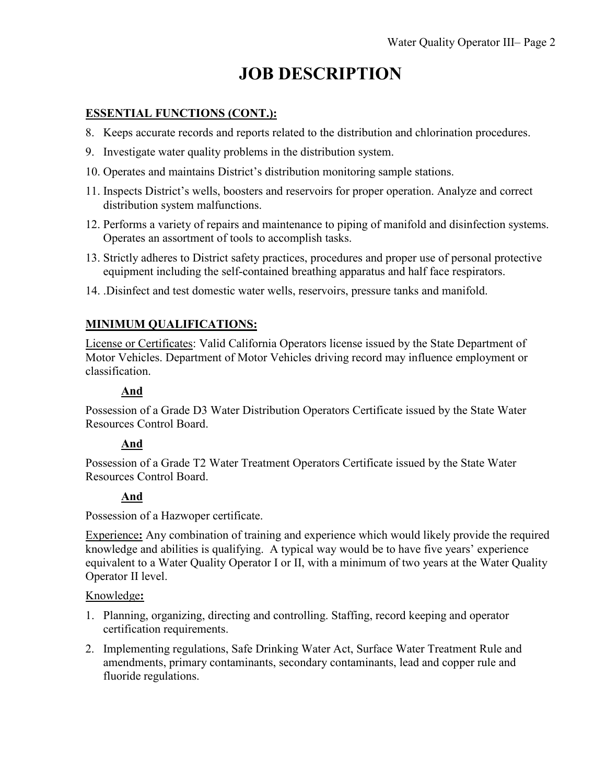### **ESSENTIAL FUNCTIONS (CONT.):**

- 8. Keeps accurate records and reports related to the distribution and chlorination procedures.
- 9. Investigate water quality problems in the distribution system.
- 10. Operates and maintains District's distribution monitoring sample stations.
- 11. Inspects District's wells, boosters and reservoirs for proper operation. Analyze and correct distribution system malfunctions.
- 12. Performs a variety of repairs and maintenance to piping of manifold and disinfection systems. Operates an assortment of tools to accomplish tasks.
- 13. Strictly adheres to District safety practices, procedures and proper use of personal protective equipment including the self-contained breathing apparatus and half face respirators.
- 14. .Disinfect and test domestic water wells, reservoirs, pressure tanks and manifold.

## **MINIMUM QUALIFICATIONS:**

License or Certificates: Valid California Operators license issued by the State Department of Motor Vehicles. Department of Motor Vehicles driving record may influence employment or classification.

## **And**

Possession of a Grade D3 Water Distribution Operators Certificate issued by the State Water Resources Control Board.

### **And**

Possession of a Grade T2 Water Treatment Operators Certificate issued by the State Water Resources Control Board.

# **And**

Possession of a Hazwoper certificate.

Experience**:** Any combination of training and experience which would likely provide the required knowledge and abilities is qualifying. A typical way would be to have five years' experience equivalent to a Water Quality Operator I or II, with a minimum of two years at the Water Quality Operator II level.

### Knowledge**:**

- 1. Planning, organizing, directing and controlling. Staffing, record keeping and operator certification requirements.
- 2. Implementing regulations, Safe Drinking Water Act, Surface Water Treatment Rule and amendments, primary contaminants, secondary contaminants, lead and copper rule and fluoride regulations.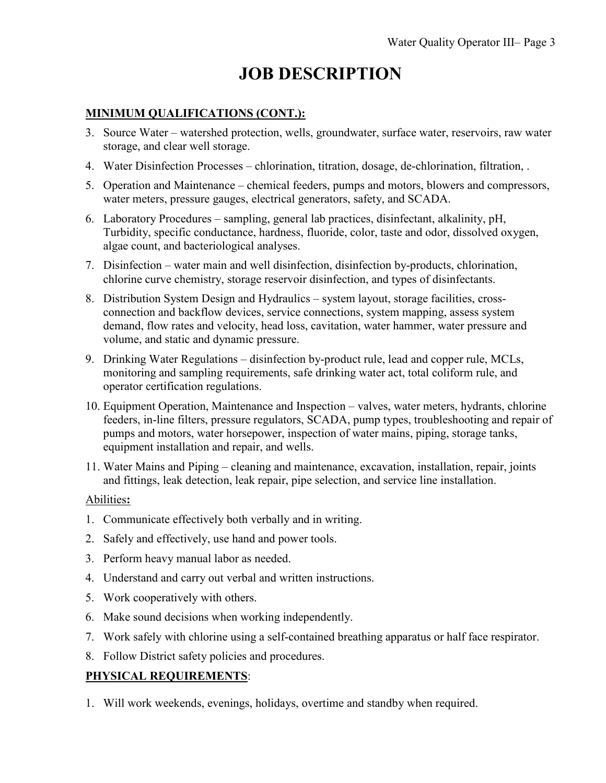## **MINIMUM QUALIFICATIONS (CONT.):**

- 3. Source Water watershed protection, wells, groundwater, surface water, reservoirs, raw water storage, and clear well storage.
- 4. Water Disinfection Processes chlorination, titration, dosage, de-chlorination, filtration, .
- 5. Operation and Maintenance chemical feeders, pumps and motors, blowers and compressors, water meters, pressure gauges, electrical generators, safety, and SCADA.
- 6. Laboratory Procedures sampling, general lab practices, disinfectant, alkalinity, pH, Turbidity, specific conductance, hardness, fluoride, color, taste and odor, dissolved oxygen, algae count, and bacteriological analyses.
- 7. Disinfection water main and well disinfection, disinfection by-products, chlorination, chlorine curve chemistry, storage reservoir disinfection, and types of disinfectants.
- 8. Distribution System Design and Hydraulics system layout, storage facilities, crossconnection and backflow devices, service connections, system mapping, assess system demand, flow rates and velocity, head loss, cavitation, water hammer, water pressure and volume, and static and dynamic pressure.
- 9. Drinking Water Regulations disinfection by-product rule, lead and copper rule, MCLs, monitoring and sampling requirements, safe drinking water act, total coliform rule, and operator certification regulations.
- 10. Equipment Operation, Maintenance and Inspection valves, water meters, hydrants, chlorine feeders, in-line filters, pressure regulators, SCADA, pump types, troubleshooting and repair of pumps and motors, water horsepower, inspection of water mains, piping, storage tanks, equipment installation and repair, and wells.
- 11. Water Mains and Piping cleaning and maintenance, excavation, installation, repair, joints and fittings, leak detection, leak repair, pipe selection, and service line installation.

### Abilities**:**

- 1. Communicate effectively both verbally and in writing.
- 2. Safely and effectively, use hand and power tools.
- 3. Perform heavy manual labor as needed.
- 4. Understand and carry out verbal and written instructions.
- 5. Work cooperatively with others.
- 6. Make sound decisions when working independently.
- 7. Work safely with chlorine using a self-contained breathing apparatus or half face respirator.
- 8. Follow District safety policies and procedures.

# **PHYSICAL REQUIREMENTS**:

1. Will work weekends, evenings, holidays, overtime and standby when required.